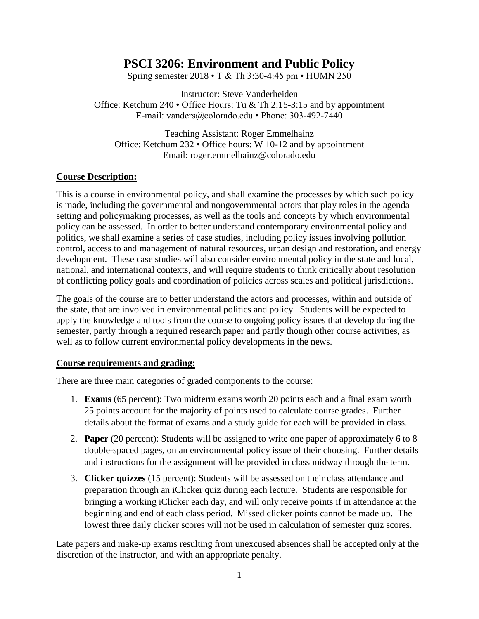# **PSCI 3206: Environment and Public Policy**

Spring semester 2018 • T & Th 3:30-4:45 pm • HUMN 250

Instructor: Steve Vanderheiden Office: Ketchum 240 • Office Hours: Tu & Th 2:15-3:15 and by appointment E-mail: vanders@colorado.edu • Phone: 303-492-7440

Teaching Assistant: Roger Emmelhainz Office: Ketchum 232 • Office hours: W 10-12 and by appointment Email: roger.emmelhainz@colorado.edu

## **Course Description:**

This is a course in environmental policy, and shall examine the processes by which such policy is made, including the governmental and nongovernmental actors that play roles in the agenda setting and policymaking processes, as well as the tools and concepts by which environmental policy can be assessed. In order to better understand contemporary environmental policy and politics, we shall examine a series of case studies, including policy issues involving pollution control, access to and management of natural resources, urban design and restoration, and energy development. These case studies will also consider environmental policy in the state and local, national, and international contexts, and will require students to think critically about resolution of conflicting policy goals and coordination of policies across scales and political jurisdictions.

The goals of the course are to better understand the actors and processes, within and outside of the state, that are involved in environmental politics and policy. Students will be expected to apply the knowledge and tools from the course to ongoing policy issues that develop during the semester, partly through a required research paper and partly though other course activities, as well as to follow current environmental policy developments in the news.

## **Course requirements and grading:**

There are three main categories of graded components to the course:

- 1. **Exams** (65 percent): Two midterm exams worth 20 points each and a final exam worth 25 points account for the majority of points used to calculate course grades. Further details about the format of exams and a study guide for each will be provided in class.
- 2. **Paper** (20 percent): Students will be assigned to write one paper of approximately 6 to 8 double-spaced pages, on an environmental policy issue of their choosing. Further details and instructions for the assignment will be provided in class midway through the term.
- 3. **Clicker quizzes** (15 percent): Students will be assessed on their class attendance and preparation through an iClicker quiz during each lecture. Students are responsible for bringing a working iClicker each day, and will only receive points if in attendance at the beginning and end of each class period. Missed clicker points cannot be made up. The lowest three daily clicker scores will not be used in calculation of semester quiz scores.

Late papers and make-up exams resulting from unexcused absences shall be accepted only at the discretion of the instructor, and with an appropriate penalty.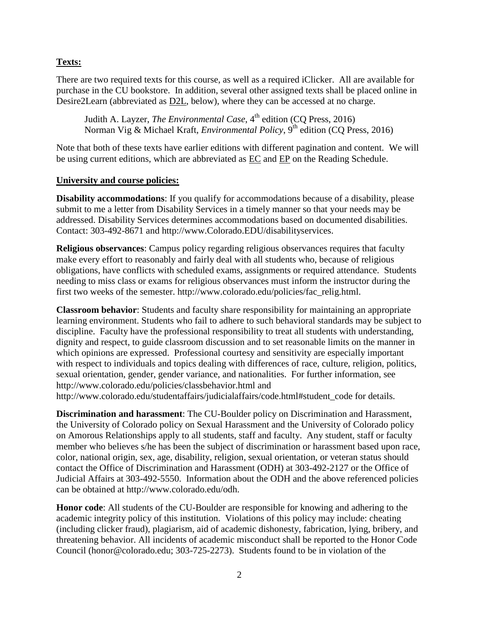## **Texts:**

There are two required texts for this course, as well as a required iClicker. All are available for purchase in the CU bookstore. In addition, several other assigned texts shall be placed online in Desire2Learn (abbreviated as D2L, below), where they can be accessed at no charge.

Judith A. Layzer, *The Environmental Case*, 4<sup>th</sup> edition (CQ Press, 2016) Norman Vig & Michael Kraft, *Environmental Policy*, 9<sup>th</sup> edition (CO Press, 2016)

Note that both of these texts have earlier editions with different pagination and content. We will be using current editions, which are abbreviated as  $\underline{EC}$  and  $\underline{EP}$  on the Reading Schedule.

## **University and course policies:**

**Disability accommodations**: If you qualify for accommodations because of a disability, please submit to me a letter from Disability Services in a timely manner so that your needs may be addressed. Disability Services determines accommodations based on documented disabilities. Contact: 303-492-8671 and http://www.Colorado.EDU/disabilityservices.

**Religious observances**: Campus policy regarding religious observances requires that faculty make every effort to reasonably and fairly deal with all students who, because of religious obligations, have conflicts with scheduled exams, assignments or required attendance. Students needing to miss class or exams for religious observances must inform the instructor during the first two weeks of the semester. http://www.colorado.edu/policies/fac\_relig.html.

**Classroom behavior**: Students and faculty share responsibility for maintaining an appropriate learning environment. Students who fail to adhere to such behavioral standards may be subject to discipline. Faculty have the professional responsibility to treat all students with understanding, dignity and respect, to guide classroom discussion and to set reasonable limits on the manner in which opinions are expressed. Professional courtesy and sensitivity are especially important with respect to individuals and topics dealing with differences of race, culture, religion, politics, sexual orientation, gender, gender variance, and nationalities. For further information, see http://www.colorado.edu/policies/classbehavior.html and

http://www.colorado.edu/studentaffairs/judicialaffairs/code.html#student\_code for details.

**Discrimination and harassment**: The CU-Boulder policy on Discrimination and Harassment, the University of Colorado policy on Sexual Harassment and the University of Colorado policy on Amorous Relationships apply to all students, staff and faculty. Any student, staff or faculty member who believes s/he has been the subject of discrimination or harassment based upon race, color, national origin, sex, age, disability, religion, sexual orientation, or veteran status should contact the Office of Discrimination and Harassment (ODH) at 303-492-2127 or the Office of Judicial Affairs at 303-492-5550. Information about the ODH and the above referenced policies can be obtained at http://www.colorado.edu/odh.

**Honor code**: All students of the CU-Boulder are responsible for knowing and adhering to the academic integrity policy of this institution. Violations of this policy may include: cheating (including clicker fraud), plagiarism, aid of academic dishonesty, fabrication, lying, bribery, and threatening behavior. All incidents of academic misconduct shall be reported to the Honor Code Council (honor@colorado.edu; 303-725-2273). Students found to be in violation of the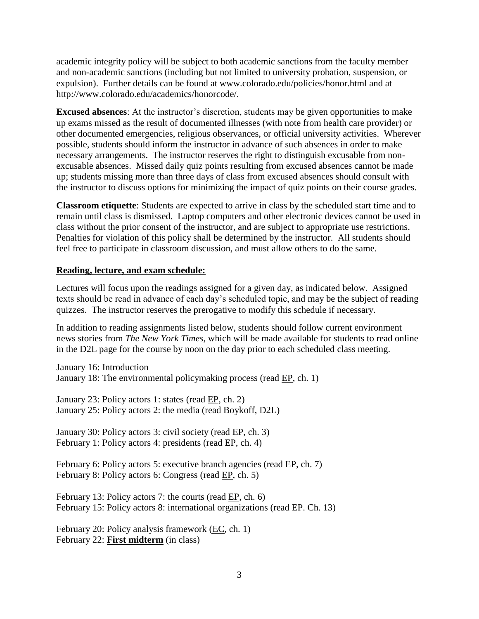academic integrity policy will be subject to both academic sanctions from the faculty member and non-academic sanctions (including but not limited to university probation, suspension, or expulsion). Further details can be found at www.colorado.edu/policies/honor.html and at http://www.colorado.edu/academics/honorcode/.

**Excused absences**: At the instructor's discretion, students may be given opportunities to make up exams missed as the result of documented illnesses (with note from health care provider) or other documented emergencies, religious observances, or official university activities. Wherever possible, students should inform the instructor in advance of such absences in order to make necessary arrangements. The instructor reserves the right to distinguish excusable from nonexcusable absences. Missed daily quiz points resulting from excused absences cannot be made up; students missing more than three days of class from excused absences should consult with the instructor to discuss options for minimizing the impact of quiz points on their course grades.

**Classroom etiquette**: Students are expected to arrive in class by the scheduled start time and to remain until class is dismissed. Laptop computers and other electronic devices cannot be used in class without the prior consent of the instructor, and are subject to appropriate use restrictions. Penalties for violation of this policy shall be determined by the instructor. All students should feel free to participate in classroom discussion, and must allow others to do the same.

## **Reading, lecture, and exam schedule:**

Lectures will focus upon the readings assigned for a given day, as indicated below. Assigned texts should be read in advance of each day's scheduled topic, and may be the subject of reading quizzes. The instructor reserves the prerogative to modify this schedule if necessary.

In addition to reading assignments listed below, students should follow current environment news stories from *The New York Times*, which will be made available for students to read online in the D2L page for the course by noon on the day prior to each scheduled class meeting.

January 16: Introduction January 18: The environmental policymaking process (read EP, ch. 1)

January 23: Policy actors 1: states (read EP, ch. 2) January 25: Policy actors 2: the media (read Boykoff, D2L)

January 30: Policy actors 3: civil society (read EP, ch. 3) February 1: Policy actors 4: presidents (read EP, ch. 4)

February 6: Policy actors 5: executive branch agencies (read EP, ch. 7) February 8: Policy actors 6: Congress (read EP, ch. 5)

February 13: Policy actors 7: the courts (read EP, ch. 6) February 15: Policy actors 8: international organizations (read EP. Ch. 13)

February 20: Policy analysis framework (EC, ch. 1) February 22: **First midterm** (in class)